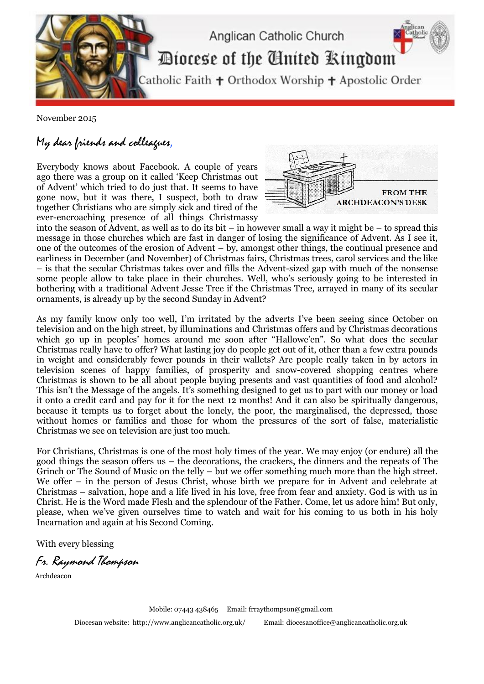

November 2015

## My dear friends and colleagues,

Everybody knows about Facebook. A couple of years ago there was a group on it called 'Keep Christmas out of Advent' which tried to do just that. It seems to have gone now, but it was there, I suspect, both to draw together Christians who are simply sick and tired of the ever-encroaching presence of all things Christmassy



into the season of Advent, as well as to do its bit – in however small a way it might be – to spread this message in those churches which are fast in danger of losing the significance of Advent. As I see it, one of the outcomes of the erosion of Advent – by, amongst other things, the continual presence and earliness in December (and November) of Christmas fairs, Christmas trees, carol services and the like – is that the secular Christmas takes over and fills the Advent-sized gap with much of the nonsense some people allow to take place in their churches. Well, who's seriously going to be interested in bothering with a traditional Advent Jesse Tree if the Christmas Tree, arrayed in many of its secular ornaments, is already up by the second Sunday in Advent?

As my family know only too well, I'm irritated by the adverts I've been seeing since October on television and on the high street, by illuminations and Christmas offers and by Christmas decorations which go up in peoples' homes around me soon after "Hallowe'en". So what does the secular Christmas really have to offer? What lasting joy do people get out of it, other than a few extra pounds in weight and considerably fewer pounds in their wallets? Are people really taken in by actors in television scenes of happy families, of prosperity and snow-covered shopping centres where Christmas is shown to be all about people buying presents and vast quantities of food and alcohol? This isn't the Message of the angels. It's something designed to get us to part with our money or load it onto a credit card and pay for it for the next 12 months! And it can also be spiritually dangerous, because it tempts us to forget about the lonely, the poor, the marginalised, the depressed, those without homes or families and those for whom the pressures of the sort of false, materialistic Christmas we see on television are just too much.

For Christians, Christmas is one of the most holy times of the year. We may enjoy (or endure) all the good things the season offers us – the decorations, the crackers, the dinners and the repeats of The Grinch or The Sound of Music on the telly – but we offer something much more than the high street. We offer – in the person of Jesus Christ, whose birth we prepare for in Advent and celebrate at Christmas – salvation, hope and a life lived in his love, free from fear and anxiety. God is with us in Christ. He is the Word made Flesh and the splendour of the Father. Come, let us adore him! But only, please, when we've given ourselves time to watch and wait for his coming to us both in his holy Incarnation and again at his Second Coming.

With every blessing

Fr. Raymond Thompson

Archdeacon

Mobile: 07443 438465 Email[: frraythompson@gmail.com](mailto:frraythompson@gmail.com) Diocesan website:<http://www.anglicancatholic.org.uk/> Email: [diocesanoffice@anglicancatholic.org.uk](mailto:diocesanoffice@anglicancatholic.org.uk)